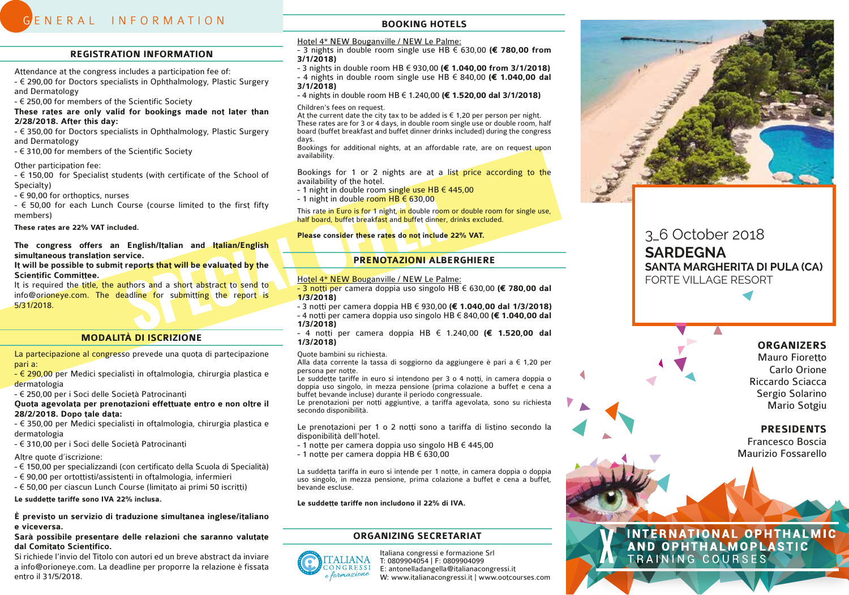# G ENERAL INFORMATION

#### **REGISTRATION INFORMATION**

Attendance at the congress includes a participation fee of:

- € 290,00 for Doctors specialists in Ophthalmology, Plastic Surgery and Dermatology

- € 250,00 for members of the Scientific Society

#### **These rates are only valid for bookings made not later than 2/28/2018. After this day:**

- € 350,00 for Doctors specialists in Ophthalmology, Plastic Surgery and Dermatology

- € 310,00 for members of the Scientific Society

#### Other participation fee:

- € 150,00 for Specialist students (with certificate of the School of Specialty)

- € 90,00 for orthoptics, nurses

- € 50,00 for each Lunch Course (course limited to the first fifty members)

**These rates are 22% VAT included.**

#### **The congress offers an English/Italian and Italian/English simultaneous translation service.**

#### **It will be possible to submit reports that will be evaluated by the Scientific Committee.**

It is required the title, the authors and a short abstract to send to info@orioneye.com. The deadline for submitting the report is 5/31/2018.

#### **MODALITÀ DI ISCRIZIONE**

La partecipazione al congresso prevede una quota di partecipazione pari a:

- € 290,00 per Medici specialisti in oftalmologia, chirurgia plastica e dermatologia

- € 250,00 per i Soci delle Società Patrocinanti

**Quota agevolata per prenotazioni effettuate entro e non oltre il 28/2/2018. Dopo tale data:**

- € 350,00 per Medici specialisti in oftalmologia, chirurgia plastica e dermatologia

- € 310,00 per i Soci delle Società Patrocinanti

Altre quote d'iscrizione:

- € 150,00 per specializzandi (con certificato della Scuola di Specialità)
- € 90,00 per ortottisti/assistenti in oftalmologia, infermieri
- € 50,00 per ciascun Lunch Course (limitato ai primi 50 iscritti)

**Le suddette tariffe sono IVA 22% inclusa.** 

#### **È previsto un servizio di traduzione simultanea inglese/italiano e viceversa.**

### **Sarà possibile presentare delle relazioni che saranno valutate dal Comitato Scientifico.**

Si richiede l'invio del Titolo con autori ed un breve abstract da inviare a info@orioneye.com. La deadline per proporre la relazione è fissata entro il 31/5/2018.

### **BOOKING HOTELS**

Hotel 4\* NEW Bouganville / NEW Le Palme:

- 3 nights in double room single use HB € 630,00 **(€ 780,00 from 3/1/2018)**

- 3 nights in double room HB € 930,00 **(€ 1.040,00 from 3/1/2018)** - 4 nights in double room single use HB € 840,00 **(€ 1.040,00 dal 3/1/2018)**

- 4 nights in double room HB € 1.240,00 **(€ 1.520,00 dal 3/1/2018)**

Children's fees on request.

At the current date the city tax to be added is  $\epsilon$  1,20 per person per night. These rates are for 3 or 4 days, in double room single use or double room, half board (buffet breakfast and buffet dinner drinks included) during the congress days.

Bookings for additional nights, at an affordable rate, are on request upon availability.

Bookings for 1 or 2 nights are at a list price according to the availability of the hotel.

- 1 night in double room single use HB € 445,00

- 1 night in double room  $HB \in 630,00$ 

This rate in Euro is for 1 night, in double room or double room for single use, half board, buffet breakfast and buffet dinner, drinks excluded.

#### **Please consider these rates do not include 22% VAT.**

#### **PRENOTAZIONI ALBERGHIERE**

#### Hotel 4\* NEW Bouganville / NEW Le Palme:

- 3 notti per camera doppia uso singolo HB € 630,00 **(€ 780,00 dal 1/3/2018)**
- 3 notti per camera doppia HB € 930,00 **(€ 1.040,00 dal 1/3/2018)** - 4 notti per camera doppia uso singolo HB € 840,00 **(€ 1.040,00 dal 1/3/2018)**

- 4 notti per camera doppia HB € 1.240,00 **(€ 1.520,00 dal 1/3/2018)**

#### Quote bambini su richiesta.

Alla data corrente la tassa di soggiorno da aggiungere è pari a € 1,20 per persona per notte.

Le suddette tariffe in euro si intendono per 3 o 4 notti, in camera doppia o doppia uso singolo, in mezza pensione (prima colazione a buffet e cena a buffet e cena a buffet e cena a

Le prenotazioni per notti aggiuntive, a tariffa agevolata, sono su richiesta secondo disponibilità.

Le prenotazioni per 1 o 2 notti sono a tariffa di listino secondo la disponibilità dell'hotel.

- 1 notte per camera doppia uso singolo HB € 445,00
- 1 notte per camera doppia HB € 630,00

La suddetta tariffa in euro si intende per 1 notte, in camera doppia o doppia uso singolo, in mezza pensione, prima colazione a buffet e cena a buffet, bevande escluse.

**Le suddette tariffe non includono il 22% di IVA.**

#### **ORGANIZING SECRETARIAT**



Italiana congressi e formazione Srl T: 0809904054 | F: 0809904099 E: antonelladangella@italianacongressi.it W: www.italianacongressi.it | www.ootcourses.com



# 3\_6 October 2018 **SARDEGNA SANTA MARGHERITA DI PULA (CA)** FORTE VILLAGE RESORT

# **ORGANIZERS**

Mauro Fioretto Carlo Orione Riccardo Sciacca Sergio Solarino Mario Sotgiu

# **PRESIDENTS**

Francesco Boscia Maurizio Fossarello

# INTERNATIONAL OPHTHALMIC<br>AND OPHTHALMOPLASTIC TRAINING COURSES